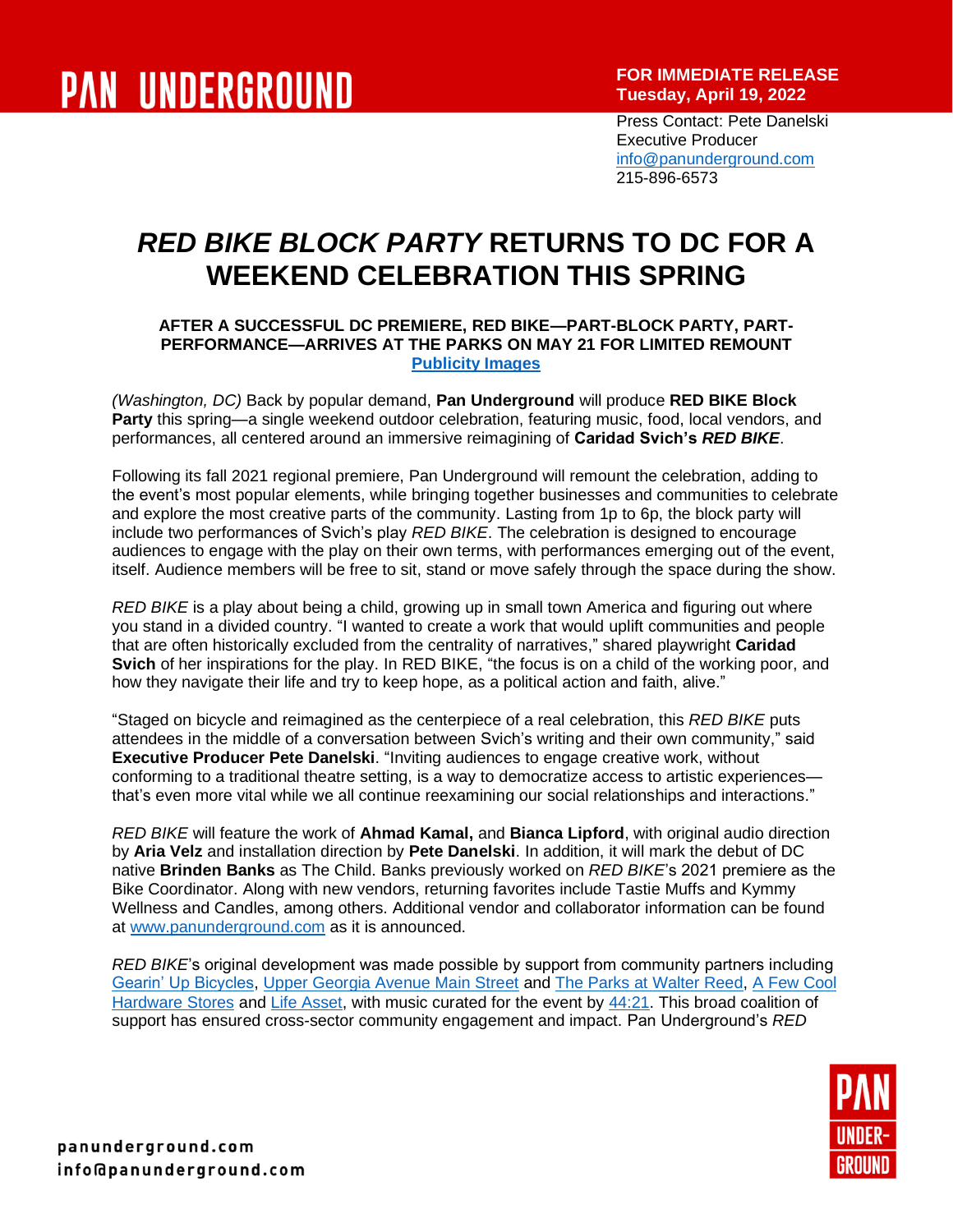**FOR IMMEDIATE RELEASE Tuesday, April 19, 2022**

Press Contact: Pete Danelski Executive Producer [info@panunderground.com](mailto:info@panunderground.com) 215-896-6573

# *RED BIKE BLOCK PARTY* **RETURNS TO DC FOR A WEEKEND CELEBRATION THIS SPRING**

### **AFTER A SUCCESSFUL DC PREMIERE, RED BIKE—PART-BLOCK PARTY, PART-PERFORMANCE—ARRIVES AT THE PARKS ON MAY 21 FOR LIMITED REMOUNT [Publicity Images](https://drive.google.com/drive/folders/1adgdRO5okQzMaxkTcwSRrMedUh38_PbI?usp=sharing)**

*(Washington, DC)* Back by popular demand, **Pan Underground** will produce **RED BIKE Block Party** this spring—a single weekend outdoor celebration, featuring music, food, local vendors, and performances, all centered around an immersive reimagining of **Caridad Svich's** *RED BIKE*.

Following its fall 2021 regional premiere, Pan Underground will remount the celebration, adding to the event's most popular elements, while bringing together businesses and communities to celebrate and explore the most creative parts of the community. Lasting from 1p to 6p, the block party will include two performances of Svich's play *RED BIKE*. The celebration is designed to encourage audiences to engage with the play on their own terms, with performances emerging out of the event, itself. Audience members will be free to sit, stand or move safely through the space during the show.

*RED BIKE* is a play about being a child, growing up in small town America and figuring out where you stand in a divided country. "I wanted to create a work that would uplift communities and people that are often historically excluded from the centrality of narratives," shared playwright **Caridad Svich** of her inspirations for the play. In RED BIKE, "the focus is on a child of the working poor, and how they navigate their life and try to keep hope, as a political action and faith, alive."

"Staged on bicycle and reimagined as the centerpiece of a real celebration, this *RED BIKE* puts attendees in the middle of a conversation between Svich's writing and their own community," said **Executive Producer Pete Danelski**. "Inviting audiences to engage creative work, without conforming to a traditional theatre setting, is a way to democratize access to artistic experiences that's even more vital while we all continue reexamining our social relationships and interactions."

*RED BIKE* will feature the work of **Ahmad Kamal,** and **Bianca Lipford**, with original audio direction by **Aria Velz** and installation direction by **Pete Danelski**. In addition, it will mark the debut of DC native **Brinden Banks** as The Child. Banks previously worked on *RED BIKE*'s 2021 premiere as the Bike Coordinator. Along with new vendors, returning favorites include Tastie Muffs and Kymmy Wellness and Candles, among others. Additional vendor and collaborator information can be found at [www.panunderground.com](http://www.panunderground.com/) as it is announced.

*RED BIKE*'s original development was made possible by support from community partners including [Gearin' Up Bicycles,](http://gearinupbicycles.org/) [Upper Georgia Avenue Main Street](https://www.uppergeorgiaave.com/) and [The Parks at Walter Reed,](https://theparksdc.com/) [A Few Cool](https://acehardwaredc.com/)  [Hardware Stores](https://acehardwaredc.com/) and [Life Asset,](https://lifeasset.org/) with music curated for the event by [44:21.](https://www.4421productions.com/) This broad coalition of support has ensured cross-sector community engagement and impact. Pan Underground's *RED* 

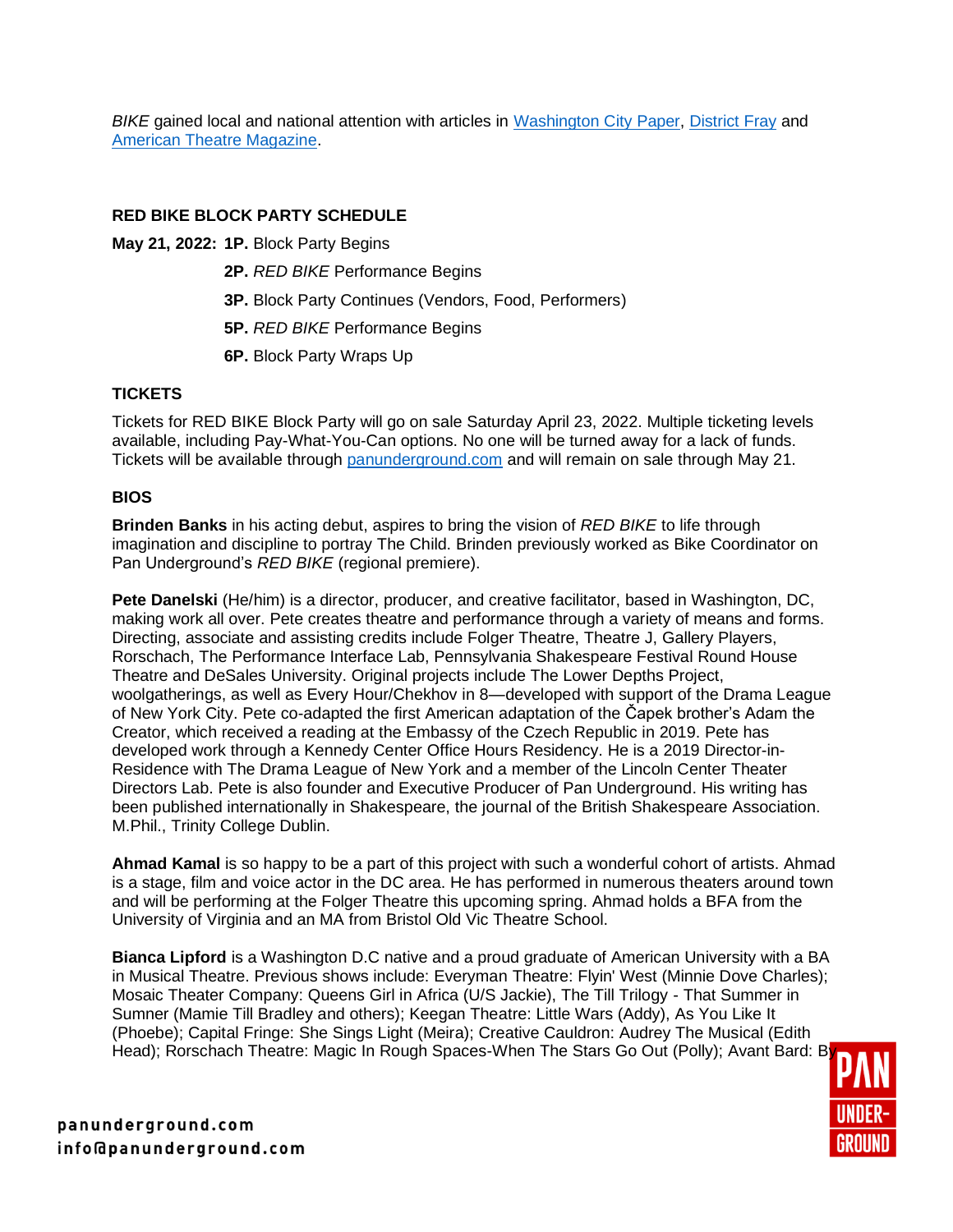*BIKE* gained local and national attention with articles in [Washington City Paper,](https://washingtoncitypaper.com/article/537070/red-bike-breathes-new-life-into-local-theater/) [District Fray](https://districtfray.com/articles/red-bike-premieres/) and [American Theatre Magazine.](https://www.americantheatre.org/2021/10/28/taking-it-to-the-streets-on-a-red-bike/)

### **RED BIKE BLOCK PARTY SCHEDULE**

**May 21, 2022: 1P.** Block Party Begins

- **2P.** *RED BIKE* Performance Begins
- **3P.** Block Party Continues (Vendors, Food, Performers)
- **5P.** *RED BIKE* Performance Begins
- **6P.** Block Party Wraps Up

## **TICKETS**

Tickets for RED BIKE Block Party will go on sale Saturday April 23, 2022. Multiple ticketing levels available, including Pay-What-You-Can options. No one will be turned away for a lack of funds. Tickets will be available through [panunderground.com](https://www.panunderground.com/blockparty) and will remain on sale through May 21.

## **BIOS**

**Brinden Banks** in his acting debut, aspires to bring the vision of *RED BIKE* to life through imagination and discipline to portray The Child. Brinden previously worked as Bike Coordinator on Pan Underground's *RED BIKE* (regional premiere).

**Pete Danelski** (He/him) is a director, producer, and creative facilitator, based in Washington, DC, making work all over. Pete creates theatre and performance through a variety of means and forms. Directing, associate and assisting credits include Folger Theatre, Theatre J, Gallery Players, Rorschach, The Performance Interface Lab, Pennsylvania Shakespeare Festival Round House Theatre and DeSales University. Original projects include The Lower Depths Project, woolgatherings, as well as Every Hour/Chekhov in 8—developed with support of the Drama League of New York City. Pete co-adapted the first American adaptation of the Čapek brother's Adam the Creator, which received a reading at the Embassy of the Czech Republic in 2019. Pete has developed work through a Kennedy Center Office Hours Residency. He is a 2019 Director-in-Residence with The Drama League of New York and a member of the Lincoln Center Theater Directors Lab. Pete is also founder and Executive Producer of Pan Underground. His writing has been published internationally in Shakespeare, the journal of the British Shakespeare Association. M.Phil., Trinity College Dublin.

**Ahmad Kamal** is so happy to be a part of this project with such a wonderful cohort of artists. Ahmad is a stage, film and voice actor in the DC area. He has performed in numerous theaters around town and will be performing at the Folger Theatre this upcoming spring. Ahmad holds a BFA from the University of Virginia and an MA from Bristol Old Vic Theatre School.

**Bianca Lipford** is a Washington D.C native and a proud graduate of American University with a BA in Musical Theatre. Previous shows include: Everyman Theatre: Flyin' West (Minnie Dove Charles); Mosaic Theater Company: Queens Girl in Africa (U/S Jackie), The Till Trilogy - That Summer in Sumner (Mamie Till Bradley and others); Keegan Theatre: Little Wars (Addy), As You Like It (Phoebe); Capital Fringe: She Sings Light (Meira); Creative Cauldron: Audrey The Musical (Edith Head); Rorschach Theatre: Magic In Rough Spaces-When The Stars Go Out (Polly); Avant Bard: B



panunderground.com info@panunderground.com